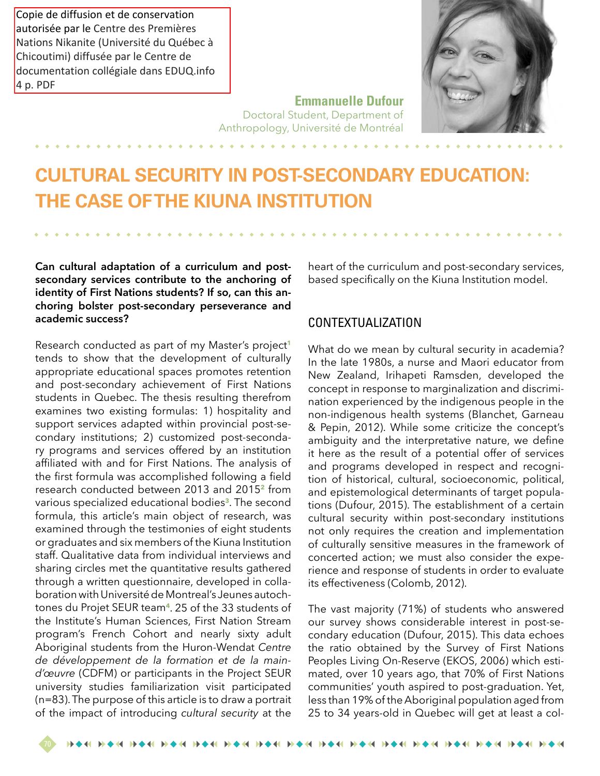Copie de diffusion et de conservation autorisée par le Centre des Premières Nations Nikanite (Université du Québec à Chicoutimi) diffusée par le Centre de documentation collégiale dans EDUQ.info 4 p. PDF

## **Emmanuelle Dufour**

Doctoral Student, Department of Anthropology, Université de Montréal

# **CULTURAL SECURITY IN POST-SECONDARY EDUCATION: THE CASE OF THE KIUNA INSTITUTION**

**Can cultural adaptation of a curriculum and postsecondary services contribute to the anchoring of identity of First Nations students? If so, can this anchoring bolster post-secondary perseverance and academic success?**

Research conducted as part of my Master's project**<sup>1</sup>** tends to show that the development of culturally appropriate educational spaces promotes retention and post-secondary achievement of First Nations students in Quebec. The thesis resulting therefrom examines two existing formulas: 1) hospitality and support services adapted within provincial post-secondary institutions; 2) customized post-secondary programs and services offered by an institution affiliated with and for First Nations. The analysis of the first formula was accomplished following a field research conducted between 2013 and 2015**<sup>2</sup>** from various specialized educational bodies**<sup>3</sup>**. The second formula, this article's main object of research, was examined through the testimonies of eight students or graduates and six members of the Kiuna Institution staff. Qualitative data from individual interviews and sharing circles met the quantitative results gathered through a written questionnaire, developed in collaboration with Université de Montreal's Jeunes autochtones du Projet SEUR team**<sup>4</sup>**. 25 of the 33 students of the Institute's Human Sciences, First Nation Stream program's French Cohort and nearly sixty adult Aboriginal students from the Huron-Wendat *Centre de développement de la formation et de la maind'œuvre* (CDFM) or participants in the Project SEUR university studies familiarization visit participated (n=83). The purpose of this article is to draw a portrait of the impact of introducing *cultural security* at the

heart of the curriculum and post-secondary services, based specifically on the Kiuna Institution model.

#### CONTEXTUALIZATION

What do we mean by cultural security in academia? In the late 1980s, a nurse and Maori educator from New Zealand, Irihapeti Ramsden, developed the concept in response to marginalization and discrimination experienced by the indigenous people in the non-indigenous health systems (Blanchet, Garneau & Pepin, 2012). While some criticize the concept's ambiguity and the interpretative nature, we define it here as the result of a potential offer of services and programs developed in respect and recognition of historical, cultural, socioeconomic, political, and epistemological determinants of target populations (Dufour, 2015). The establishment of a certain cultural security within post-secondary institutions not only requires the creation and implementation of culturally sensitive measures in the framework of concerted action; we must also consider the experience and response of students in order to evaluate its effectiveness (Colomb, 2012).

The vast majority (71%) of students who answered our survey shows considerable interest in post-secondary education (Dufour, 2015). This data echoes the ratio obtained by the Survey of First Nations Peoples Living On-Reserve (EKOS, 2006) which estimated, over 10 years ago, that 70% of First Nations communities' youth aspired to post-graduation. Yet, less than 19% of the Aboriginal population aged from 25 to 34 years-old in Quebec will get at least a col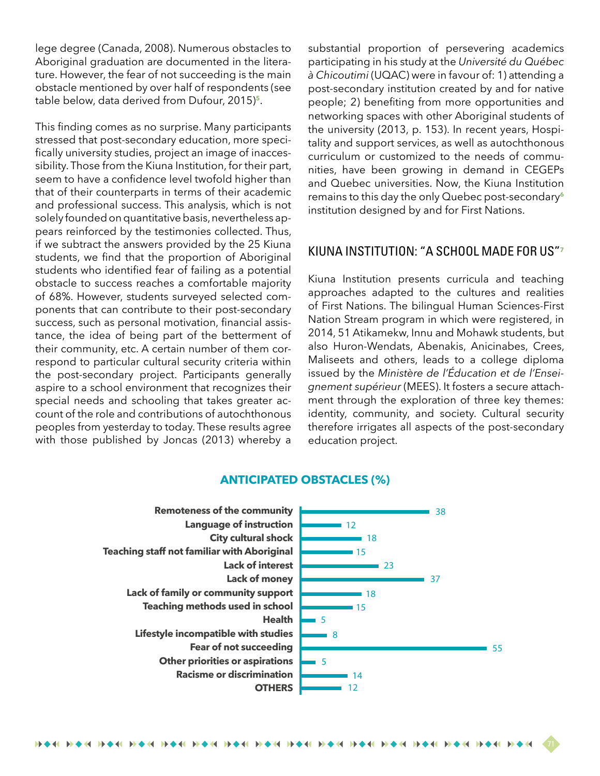lege degree (Canada, 2008). Numerous obstacles to Aboriginal graduation are documented in the literature. However, the fear of not succeeding is the main obstacle mentioned by over half of respondents (see table below, data derived from Dufour, 2015)**<sup>5</sup>**.

This finding comes as no surprise. Many participants stressed that post-secondary education, more specifically university studies, project an image of inaccessibility. Those from the Kiuna Institution, for their part, seem to have a confidence level twofold higher than that of their counterparts in terms of their academic and professional success. This analysis, which is not solely founded on quantitative basis, nevertheless appears reinforced by the testimonies collected. Thus, if we subtract the answers provided by the 25 Kiuna students, we find that the proportion of Aboriginal students who identified fear of failing as a potential obstacle to success reaches a comfortable majority of 68%. However, students surveyed selected components that can contribute to their post-secondary success, such as personal motivation, financial assistance, the idea of being part of the betterment of their community, etc. A certain number of them correspond to particular cultural security criteria within the post-secondary project. Participants generally aspire to a school environment that recognizes their special needs and schooling that takes greater account of the role and contributions of autochthonous peoples from yesterday to today. These results agree with those published by Joncas (2013) whereby a

substantial proportion of persevering academics participating in his study at the *Université du Québec à Chicoutimi* (UQAC) were in favour of: 1) attending a post-secondary institution created by and for native people; 2) benefiting from more opportunities and networking spaces with other Aboriginal students of the university (2013, p. 153). In recent years, Hospitality and support services, as well as autochthonous curriculum or customized to the needs of communities, have been growing in demand in CEGEPs and Quebec universities. Now, the Kiuna Institution remains to this day the only Quebec post-secondary**<sup>6</sup>** institution designed by and for First Nations.

#### KIUNA INSTITUTION: "A SCHOOL MADE FOR US"**<sup>7</sup>**

Kiuna Institution presents curricula and teaching approaches adapted to the cultures and realities of First Nations. The bilingual Human Sciences-First Nation Stream program in which were registered, in 2014, 51 Atikamekw, Innu and Mohawk students, but also Huron-Wendats, Abenakis, Anicinabes, Crees, Maliseets and others, leads to a college diploma issued by the *Ministère de l'Éducation et de l'Enseignement supérieur* (MEES). It fosters a secure attachment through the exploration of three key themes: identity, community, and society. Cultural security therefore irrigates all aspects of the post-secondary education project.



#### **ANTICIPATED OBSTACLES (%)**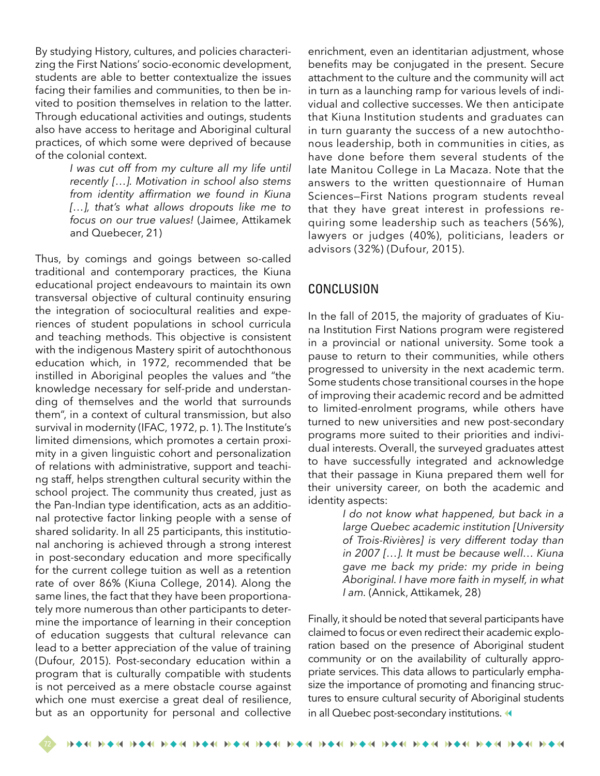By studying History, cultures, and policies characterizing the First Nations' socio-economic development, students are able to better contextualize the issues facing their families and communities, to then be invited to position themselves in relation to the latter. Through educational activities and outings, students also have access to heritage and Aboriginal cultural practices, of which some were deprived of because of the colonial context.

> *I was cut off from my culture all my life until recently […]. Motivation in school also stems from identity affirmation we found in Kiuna […], that's what allows dropouts like me to focus on our true values!* (Jaimee, Attikamek and Quebecer, 21)

Thus, by comings and goings between so-called traditional and contemporary practices, the Kiuna educational project endeavours to maintain its own transversal objective of cultural continuity ensuring the integration of sociocultural realities and experiences of student populations in school curricula and teaching methods. This objective is consistent with the indigenous Mastery spirit of autochthonous education which, in 1972, recommended that be instilled in Aboriginal peoples the values and "the knowledge necessary for self-pride and understanding of themselves and the world that surrounds them", in a context of cultural transmission, but also survival in modernity (IFAC, 1972, p. 1). The Institute's limited dimensions, which promotes a certain proximity in a given linguistic cohort and personalization of relations with administrative, support and teaching staff, helps strengthen cultural security within the school project. The community thus created, just as the Pan-Indian type identification, acts as an additional protective factor linking people with a sense of shared solidarity. In all 25 participants, this institutional anchoring is achieved through a strong interest in post-secondary education and more specifically for the current college tuition as well as a retention rate of over 86% (Kiuna College, 2014). Along the same lines, the fact that they have been proportionately more numerous than other participants to determine the importance of learning in their conception of education suggests that cultural relevance can lead to a better appreciation of the value of training (Dufour, 2015). Post-secondary education within a program that is culturally compatible with students is not perceived as a mere obstacle course against which one must exercise a great deal of resilience, but as an opportunity for personal and collective

enrichment, even an identitarian adjustment, whose benefits may be conjugated in the present. Secure attachment to the culture and the community will act in turn as a launching ramp for various levels of individual and collective successes. We then anticipate that Kiuna Institution students and graduates can in turn guaranty the success of a new autochthonous leadership, both in communities in cities, as have done before them several students of the late Manitou College in La Macaza. Note that the answers to the written questionnaire of Human Sciences—First Nations program students reveal that they have great interest in professions requiring some leadership such as teachers (56%), lawyers or judges (40%), politicians, leaders or advisors (32%) (Dufour, 2015).

#### CONCLUSION

In the fall of 2015, the majority of graduates of Kiuna Institution First Nations program were registered in a provincial or national university. Some took a pause to return to their communities, while others progressed to university in the next academic term. Some students chose transitional courses in the hope of improving their academic record and be admitted to limited-enrolment programs, while others have turned to new universities and new post-secondary programs more suited to their priorities and individual interests. Overall, the surveyed graduates attest to have successfully integrated and acknowledge that their passage in Kiuna prepared them well for their university career, on both the academic and identity aspects:

> *I do not know what happened, but back in a large Quebec academic institution [University of Trois-Rivières] is very different today than in 2007 […]. It must be because well… Kiuna gave me back my pride: my pride in being Aboriginal. I have more faith in myself, in what I am.* (Annick, Attikamek, 28)

Finally, it should be noted that several participants have claimed to focus or even redirect their academic exploration based on the presence of Aboriginal student community or on the availability of culturally appropriate services. This data allows to particularly emphasize the importance of promoting and financing structures to ensure cultural security of Aboriginal students in all Quebec post-secondary institutions.